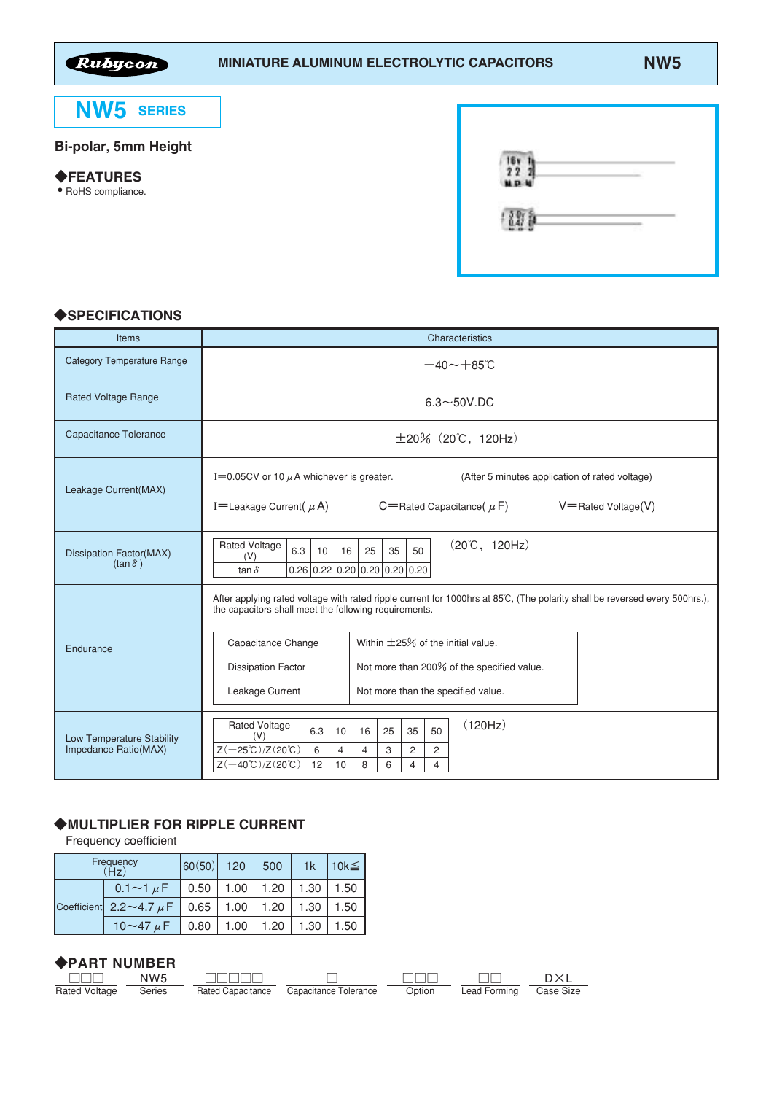# **NW5 SERIES**

## Bi-polar, 5mm Height

### ◆FEATURES

• RoHS compliance.

| $\begin{array}{c} 16x & 1 \\ 2 & 2 \\ u & p & w \end{array}$<br><b>ROS</b> | m. |
|----------------------------------------------------------------------------|----|
| <u> - 1988</u><br>14<br>ş.<br>AF.                                          | m  |
|                                                                            |    |

#### ◆SPECIFICATIONS

| <b>Items</b>                                      | Characteristics                                                                                                                                                                                                                                                                                                                                                                          |  |  |  |  |  |  |  |
|---------------------------------------------------|------------------------------------------------------------------------------------------------------------------------------------------------------------------------------------------------------------------------------------------------------------------------------------------------------------------------------------------------------------------------------------------|--|--|--|--|--|--|--|
| <b>Category Temperature Range</b>                 | $-40 \sim +85$ °C                                                                                                                                                                                                                                                                                                                                                                        |  |  |  |  |  |  |  |
| <b>Rated Voltage Range</b>                        | $6.3\neg 50V$ .DC                                                                                                                                                                                                                                                                                                                                                                        |  |  |  |  |  |  |  |
| Capacitance Tolerance                             | $\pm 20\%$ (20°C, 120Hz)                                                                                                                                                                                                                                                                                                                                                                 |  |  |  |  |  |  |  |
| Leakage Current(MAX)                              | I=0.05CV or 10 $\mu$ A whichever is greater.<br>(After 5 minutes application of rated voltage)<br>$C =$ Rated Capacitance $(\mu F)$<br>I=Leakage Current( $\mu$ A)<br>$V =$ Rated Voltage $(V)$                                                                                                                                                                                          |  |  |  |  |  |  |  |
| Dissipation Factor(MAX)<br>$(\tan \delta)$        | $(20^{\circ}\text{C}, 120\text{Hz})$<br><b>Rated Voltage</b><br>6.3<br>10<br>16<br>25<br>35<br>50<br>(V)<br>$0.26 \mid 0.22 \mid 0.20 \mid 0.20 \mid 0.20 \mid 0.20$<br>tan $\delta$                                                                                                                                                                                                     |  |  |  |  |  |  |  |
| Endurance                                         | After applying rated voltage with rated ripple current for 1000hrs at 85°C, (The polarity shall be reversed every 500hrs.),<br>the capacitors shall meet the following requirements.<br>Within $\pm$ 25% of the initial value.<br>Capacitance Change<br>Not more than 200% of the specified value.<br><b>Dissipation Factor</b><br>Leakage Current<br>Not more than the specified value. |  |  |  |  |  |  |  |
| Low Temperature Stability<br>Impedance Ratio(MAX) | (120Hz)<br><b>Rated Voltage</b><br>6.3<br>35<br>10<br>16<br>25<br>50<br>(V)<br>$Z(-25^{\circ}\text{C})/Z(20^{\circ}\text{C})$<br>6<br>$\overline{4}$<br>3<br>2<br>4<br>2<br>$Z(-40^{\circ}C)/Z(20^{\circ}C)$<br>12<br>8<br>6<br>$\overline{4}$<br>10<br>4                                                                                                                                |  |  |  |  |  |  |  |

#### ◆MULTIPLIER FOR RIPPLE CURRENT

Frequency coefficient

| Freguency | $ 60(50) $ 120                                                   |      | 500  | 1k   | 10 $k \leq$ |      |
|-----------|------------------------------------------------------------------|------|------|------|-------------|------|
|           | $0.1 \sim 1 \mu$ F   0.50   1.00   1.20   1.30   1.50            |      |      |      |             |      |
|           | Coefficient 2.2 ~ 4.7 $\mu$ F   0.65   1.00   1.20   1.30   1.50 |      |      |      |             |      |
|           | 10 $\sim$ 47 $\mu$ F                                             | 0.80 | 1.00 | 1.20 | 1.30        | 1.50 |

### ◆PART NUMBER

|               | NW <sub>5</sub> |                          |                       |         |              |           |  |
|---------------|-----------------|--------------------------|-----------------------|---------|--------------|-----------|--|
| Rated Voltage | Series          | <b>Rated Capacitance</b> | Capacitance Tolerance | .Jption | Lead Forming | Case Size |  |